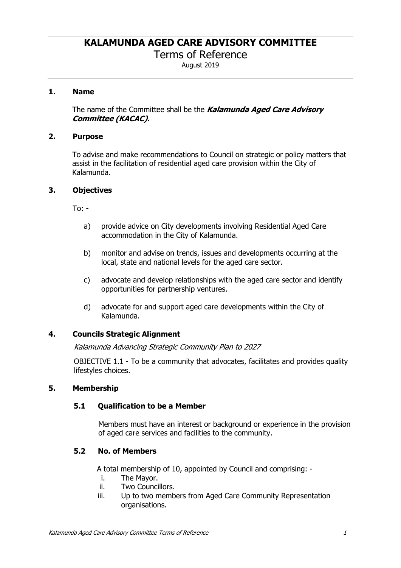Terms of Reference

August 2019

## **1. Name**

The name of the Committee shall be the *Kalamunda Aged Care Advisory Committee (KACAC).*

#### **2. Purpose**

To advise and make recommendations to Council on strategic or policy matters that assist in the facilitation of residential aged care provision within the City of Kalamunda.

#### **3. Objectives**

To: -

- a) provide advice on City developments involving Residential Aged Care accommodation in the City of Kalamunda.
- b) monitor and advise on trends, issues and developments occurring at the local, state and national levels for the aged care sector.
- c) advocate and develop relationships with the aged care sector and identify opportunities for partnership ventures.
- d) advocate for and support aged care developments within the City of Kalamunda.

## **4. Councils Strategic Alignment**

*Kalamunda Advancing Strategic Community Plan to 2027* 

OBJECTIVE 1.1 - To be a community that advocates, facilitates and provides quality lifestyles choices.

#### **5. Membership**

## **5.1 Qualification to be a Member**

Members must have an interest or background or experience in the provision of aged care services and facilities to the community.

## **5.2 No. of Members**

A total membership of 10, appointed by Council and comprising: -

- i. The Mayor.
- ii. Two Councillors.
- iii. Up to two members from Aged Care Community Representation organisations.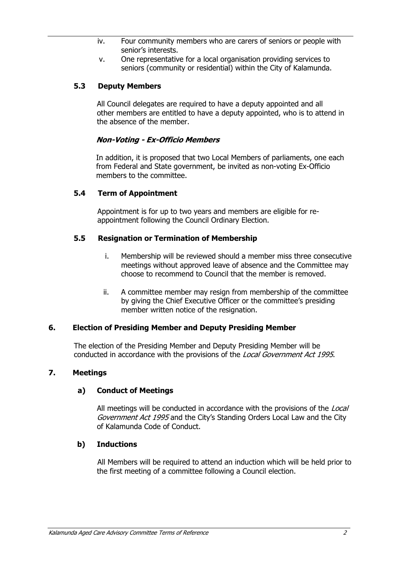- iv. Four community members who are carers of seniors or people with senior's interests.
- v. One representative for a local organisation providing services to seniors (community or residential) within the City of Kalamunda.

# **5.3 Deputy Members**

All Council delegates are required to have a deputy appointed and all other members are entitled to have a deputy appointed, who is to attend in the absence of the member.

# *Non-Voting - Ex-Officio Members*

In addition, it is proposed that two Local Members of parliaments, one each from Federal and State government, be invited as non-voting Ex-Officio members to the committee.

#### **5.4 Term of Appointment**

Appointment is for up to two years and members are eligible for reappointment following the Council Ordinary Election.

#### **5.5 Resignation or Termination of Membership**

- i. Membership will be reviewed should a member miss three consecutive meetings without approved leave of absence and the Committee may choose to recommend to Council that the member is removed.
- ii. A committee member may resign from membership of the committee by giving the Chief Executive Officer or the committee's presiding member written notice of the resignation.

## **6. Election of Presiding Member and Deputy Presiding Member**

The election of the Presiding Member and Deputy Presiding Member will be conducted in accordance with the provisions of the *Local Government Act 1995*.

## **7. Meetings**

## **a) Conduct of Meetings**

All meetings will be conducted in accordance with the provisions of the *Local Government Act 1995* and the City's Standing Orders Local Law and the City of Kalamunda Code of Conduct.

#### **b) Inductions**

All Members will be required to attend an induction which will be held prior to the first meeting of a committee following a Council election.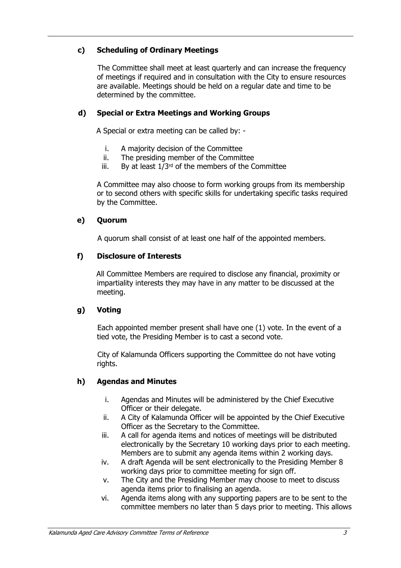# **c) Scheduling of Ordinary Meetings**

The Committee shall meet at least quarterly and can increase the frequency of meetings if required and in consultation with the City to ensure resources are available. Meetings should be held on a regular date and time to be determined by the committee.

# **d) Special or Extra Meetings and Working Groups**

A Special or extra meeting can be called by: -

- i. A majority decision of the Committee
- ii. The presiding member of the Committee
- iii. By at least  $1/3^{rd}$  of the members of the Committee

A Committee may also choose to form working groups from its membership or to second others with specific skills for undertaking specific tasks required by the Committee.

## **e) Quorum**

A quorum shall consist of at least one half of the appointed members.

#### **f) Disclosure of Interests**

All Committee Members are required to disclose any financial, proximity or impartiality interests they may have in any matter to be discussed at the meeting.

## **g) Voting**

Each appointed member present shall have one (1) vote. In the event of a tied vote, the Presiding Member is to cast a second vote.

City of Kalamunda Officers supporting the Committee do not have voting rights.

## **h) Agendas and Minutes**

- i. Agendas and Minutes will be administered by the Chief Executive Officer or their delegate.
- ii. A City of Kalamunda Officer will be appointed by the Chief Executive Officer as the Secretary to the Committee.
- iii. A call for agenda items and notices of meetings will be distributed electronically by the Secretary 10 working days prior to each meeting. Members are to submit any agenda items within 2 working days.
- iv. A draft Agenda will be sent electronically to the Presiding Member 8 working days prior to committee meeting for sign off.
- v. The City and the Presiding Member may choose to meet to discuss agenda items prior to finalising an agenda.
- vi. Agenda items along with any supporting papers are to be sent to the committee members no later than 5 days prior to meeting. This allows